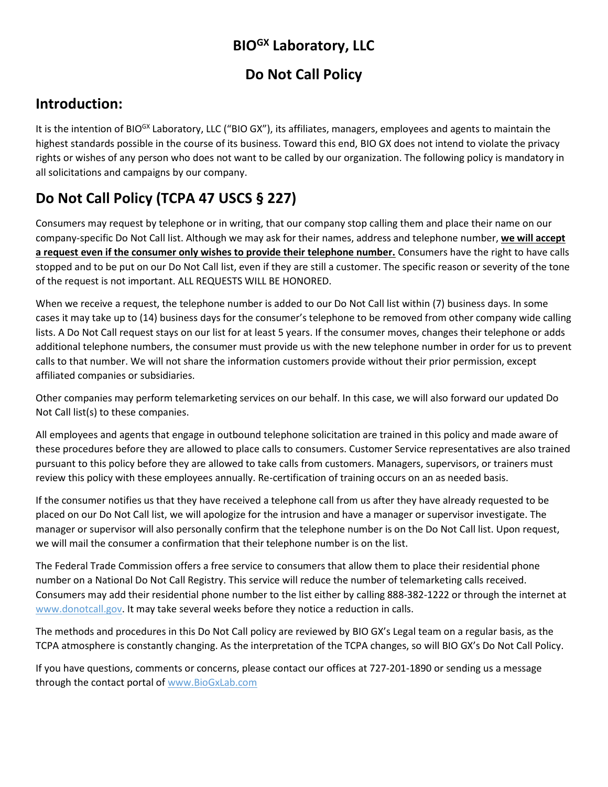# **BIOGX Laboratory, LLC**

#### **Do Not Call Policy**

#### **Introduction:**

It is the intention of BIO<sup>GX</sup> Laboratory, LLC ("BIO GX"), its affiliates, managers, employees and agents to maintain the highest standards possible in the course of its business. Toward this end, BIO GX does not intend to violate the privacy rights or wishes of any person who does not want to be called by our organization. The following policy is mandatory in all solicitations and campaigns by our company.

# **Do Not Call Policy (TCPA 47 USCS § 227)**

Consumers may request by telephone or in writing, that our company stop calling them and place their name on our company-specific Do Not Call list. Although we may ask for their names, address and telephone number, **we will accept a request even if the consumer only wishes to provide their telephone number.** Consumers have the right to have calls stopped and to be put on our Do Not Call list, even if they are still a customer. The specific reason or severity of the tone of the request is not important. ALL REQUESTS WILL BE HONORED.

When we receive a request, the telephone number is added to our Do Not Call list within (7) business days. In some cases it may take up to (14) business days for the consumer's telephone to be removed from other company wide calling lists. A Do Not Call request stays on our list for at least 5 years. If the consumer moves, changes their telephone or adds additional telephone numbers, the consumer must provide us with the new telephone number in order for us to prevent calls to that number. We will not share the information customers provide without their prior permission, except affiliated companies or subsidiaries.

Other companies may perform telemarketing services on our behalf. In this case, we will also forward our updated Do Not Call list(s) to these companies.

All employees and agents that engage in outbound telephone solicitation are trained in this policy and made aware of these procedures before they are allowed to place calls to consumers. Customer Service representatives are also trained pursuant to this policy before they are allowed to take calls from customers. Managers, supervisors, or trainers must review this policy with these employees annually. Re-certification of training occurs on an as needed basis.

If the consumer notifies us that they have received a telephone call from us after they have already requested to be placed on our Do Not Call list, we will apologize for the intrusion and have a manager or supervisor investigate. The manager or supervisor will also personally confirm that the telephone number is on the Do Not Call list. Upon request, we will mail the consumer a confirmation that their telephone number is on the list.

The Federal Trade Commission offers a free service to consumers that allow them to place their residential phone number on a National Do Not Call Registry. This service will reduce the number of telemarketing calls received. Consumers may add their residential phone number to the list either by calling 888-382-1222 or through the internet at www.donotcall.gov. It may take several weeks before they notice a reduction in calls.

The methods and procedures in this Do Not Call policy are reviewed by BIO GX's Legal team on a regular basis, as the TCPA atmosphere is constantly changing. As the interpretation of the TCPA changes, so will BIO GX's Do Not Call Policy.

If you have questions, comments or concerns, please contact our offices at 727-201-1890 or sending us a message through the contact portal of www.BioGxLab.com